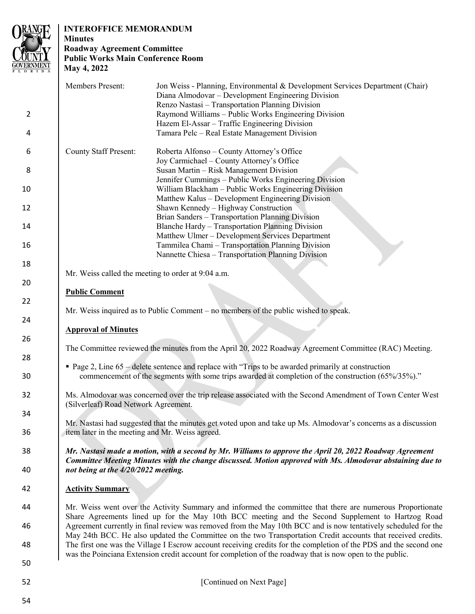

# **INTEROFFICE MEMORANDUM**

# **Minutes Roadway Agreement Committee Public Works Main Conference Room May 4, 2022**

|                | <b>Members Present:</b>                                                                                                                                                                                               | Jon Weiss - Planning, Environmental & Development Services Department (Chair)<br>Diana Almodovar – Development Engineering Division |  |  |
|----------------|-----------------------------------------------------------------------------------------------------------------------------------------------------------------------------------------------------------------------|-------------------------------------------------------------------------------------------------------------------------------------|--|--|
|                |                                                                                                                                                                                                                       | Renzo Nastasi - Transportation Planning Division                                                                                    |  |  |
| $\overline{2}$ |                                                                                                                                                                                                                       | Raymond Williams - Public Works Engineering Division                                                                                |  |  |
| 4              |                                                                                                                                                                                                                       | Hazem El-Assar - Traffic Engineering Division<br>Tamara Pelc - Real Estate Management Division                                      |  |  |
|                |                                                                                                                                                                                                                       |                                                                                                                                     |  |  |
| 6              | <b>County Staff Present:</b>                                                                                                                                                                                          | Roberta Alfonso - County Attorney's Office                                                                                          |  |  |
|                |                                                                                                                                                                                                                       | Joy Carmichael - County Attorney's Office                                                                                           |  |  |
| 8              |                                                                                                                                                                                                                       | Susan Martin - Risk Management Division                                                                                             |  |  |
|                |                                                                                                                                                                                                                       | Jennifer Cummings - Public Works Engineering Division                                                                               |  |  |
| 10             |                                                                                                                                                                                                                       | William Blackham - Public Works Engineering Division                                                                                |  |  |
|                |                                                                                                                                                                                                                       | Matthew Kalus – Development Engineering Division                                                                                    |  |  |
| 12             |                                                                                                                                                                                                                       | Shawn Kennedy - Highway Construction<br>Brian Sanders - Transportation Planning Division                                            |  |  |
| 14             |                                                                                                                                                                                                                       | Blanche Hardy - Transportation Planning Division                                                                                    |  |  |
|                |                                                                                                                                                                                                                       | Matthew Ulmer - Development Services Department                                                                                     |  |  |
| 16             |                                                                                                                                                                                                                       | Tammilea Chami - Transportation Planning Division                                                                                   |  |  |
|                |                                                                                                                                                                                                                       | Nannette Chiesa - Transportation Planning Division                                                                                  |  |  |
| 18             |                                                                                                                                                                                                                       |                                                                                                                                     |  |  |
|                | Mr. Weiss called the meeting to order at 9:04 a.m.                                                                                                                                                                    |                                                                                                                                     |  |  |
| 20             |                                                                                                                                                                                                                       |                                                                                                                                     |  |  |
|                | <b>Public Comment</b>                                                                                                                                                                                                 |                                                                                                                                     |  |  |
| 22             |                                                                                                                                                                                                                       |                                                                                                                                     |  |  |
|                |                                                                                                                                                                                                                       | Mr. Weiss inquired as to Public Comment $-$ no members of the public wished to speak.                                               |  |  |
| 24             |                                                                                                                                                                                                                       |                                                                                                                                     |  |  |
| 26             | <b>Approval of Minutes</b>                                                                                                                                                                                            |                                                                                                                                     |  |  |
|                | The Committee reviewed the minutes from the April 20, 2022 Roadway Agreement Committee (RAC) Meeting.                                                                                                                 |                                                                                                                                     |  |  |
| 28             |                                                                                                                                                                                                                       |                                                                                                                                     |  |  |
|                | • Page 2, Line 65 – delete sentence and replace with "Trips to be awarded primarily at construction<br>commencement of the segments with some trips awarded at completion of the construction (65%/35%)."             |                                                                                                                                     |  |  |
| 30             |                                                                                                                                                                                                                       |                                                                                                                                     |  |  |
|                |                                                                                                                                                                                                                       |                                                                                                                                     |  |  |
| 32             | Ms. Almodovar was concerned over the trip release associated with the Second Amendment of Town Center West<br>(Silverleaf) Road Network Agreement.                                                                    |                                                                                                                                     |  |  |
|                |                                                                                                                                                                                                                       |                                                                                                                                     |  |  |
| 34             |                                                                                                                                                                                                                       |                                                                                                                                     |  |  |
|                |                                                                                                                                                                                                                       | Mr. Nastasi had suggested that the minutes get voted upon and take up Ms. Almodovar's concerns as a discussion                      |  |  |
| 36             | item later in the meeting and Mr. Weiss agreed.                                                                                                                                                                       |                                                                                                                                     |  |  |
|                |                                                                                                                                                                                                                       |                                                                                                                                     |  |  |
| 38             | Mr. Nastasi made a motion, with a second by Mr. Williams to approve the April 20, 2022 Roadway Agreement<br>Committee Meeting Minutes with the change discussed. Motion approved with Ms. Almodovar abstaining due to |                                                                                                                                     |  |  |
| 40             | not being at the 4/20/2022 meeting.                                                                                                                                                                                   |                                                                                                                                     |  |  |
|                |                                                                                                                                                                                                                       |                                                                                                                                     |  |  |
| 42             | <b>Activity Summary</b>                                                                                                                                                                                               |                                                                                                                                     |  |  |
|                |                                                                                                                                                                                                                       |                                                                                                                                     |  |  |
| 44             | Mr. Weiss went over the Activity Summary and informed the committee that there are numerous Proportionate                                                                                                             |                                                                                                                                     |  |  |
|                | Share Agreements lined up for the May 10th BCC meeting and the Second Supplement to Hartzog Road                                                                                                                      |                                                                                                                                     |  |  |
| 46             | Agreement currently in final review was removed from the May 10th BCC and is now tentatively scheduled for the                                                                                                        |                                                                                                                                     |  |  |
|                |                                                                                                                                                                                                                       | May 24th BCC. He also updated the Committee on the two Transportation Credit accounts that received credits.                        |  |  |
| 48             | The first one was the Village I Escrow account receiving credits for the completion of the PDS and the second one                                                                                                     |                                                                                                                                     |  |  |
|                |                                                                                                                                                                                                                       | was the Poinciana Extension credit account for completion of the roadway that is now open to the public.                            |  |  |
| 50             |                                                                                                                                                                                                                       |                                                                                                                                     |  |  |
|                |                                                                                                                                                                                                                       |                                                                                                                                     |  |  |
| 52             |                                                                                                                                                                                                                       | [Continued on Next Page]                                                                                                            |  |  |
| 54             |                                                                                                                                                                                                                       |                                                                                                                                     |  |  |
|                |                                                                                                                                                                                                                       |                                                                                                                                     |  |  |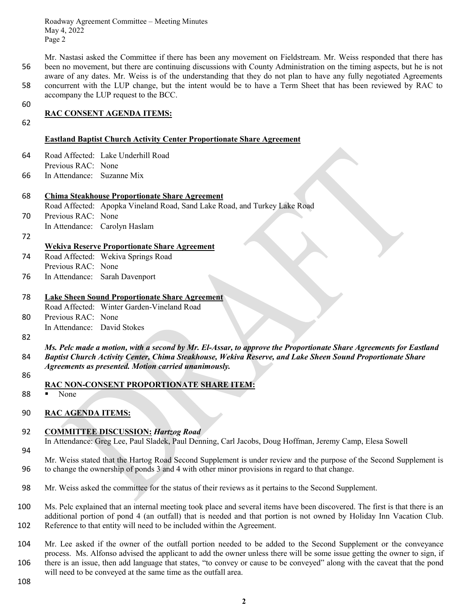Roadway Agreement Committee – Meeting Minutes May 4, 2022 Page 2

Mr. Nastasi asked the Committee if there has been any movement on Fieldstream. Mr. Weiss responded that there has 56 been no movement, but there are continuing discussions with County Administration on the timing aspects, but he is not aware of any dates. Mr. Weiss is of the understanding that they do not plan to have any fully negotiated Agreements 58 concurrent with the LUP change, but the intent would be to have a Term Sheet that has been reviewed by RAC to accompany the LUP request to the BCC.

60

## **RAC CONSENT AGENDA ITEMS:**

62

- 64 Road Affected: Lake Underhill Road
- Previous RAC: None
- 66 In Attendance: Suzanne Mix

# 68 **Chima Steakhouse Proportionate Share Agreement**

Road Affected: Apopka Vineland Road, Sand Lake Road, and Turkey Lake Road

**Eastland Baptist Church Activity Center Proportionate Share Agreement**

- 70 Previous RAC: None
- In Attendance: Carolyn Haslam
- 72

# **Wekiva Reserve Proportionate Share Agreement**

- 74 Road Affected: Wekiva Springs Road Previous RAC: None
- 76 In Attendance: Sarah Davenport

| 78  | Lake Sheen Sound Proportionate Share Agreement                                        |                                            |  |
|-----|---------------------------------------------------------------------------------------|--------------------------------------------|--|
|     |                                                                                       | Road Affected: Winter Garden-Vineland Road |  |
| n n | $\mathbf{D}_{\text{max}}$ : $\mathbf{D} \land \mathbf{C}$ . $\mathbf{M}_{\text{max}}$ |                                            |  |

80 Previous RAC: None In Attendance: David Stokes

- 82
- *Ms. Pelc made a motion, with a second by Mr. El-Assar, to approve the Proportionate Share Agreements for Eastland*  84 *Baptist Church Activity Center, Chima Steakhouse, Wekiva Reserve, and Lake Sheen Sound Proportionate Share Agreements as presented. Motion carried unanimously.*
- 86
- **RAC NON-CONSENT PROPORTIONATE SHARE ITEM:**
- 88 None
- 90 **RAC AGENDA ITEMS:**

# 92 **COMMITTEE DISCUSSION:** *Hartzog Road*

- In Attendance: Greg Lee, Paul Sladek, Paul Denning, Carl Jacobs, Doug Hoffman, Jeremy Camp, Elesa Sowell
- 94
- Mr. Weiss stated that the Hartog Road Second Supplement is under review and the purpose of the Second Supplement is 96 to change the ownership of ponds 3 and 4 with other minor provisions in regard to that change.
- 98 Mr. Weiss asked the committee for the status of their reviews as it pertains to the Second Supplement.
- 100 Ms. Pelc explained that an internal meeting took place and several items have been discovered. The first is that there is an additional portion of pond 4 (an outfall) that is needed and that portion is not owned by Holiday Inn Vacation Club. 102 Reference to that entity will need to be included within the Agreement.
- 104 Mr. Lee asked if the owner of the outfall portion needed to be added to the Second Supplement or the conveyance process. Ms. Alfonso advised the applicant to add the owner unless there will be some issue getting the owner to sign, if 106 there is an issue, then add language that states, "to convey or cause to be conveyed" along with the caveat that the pond will need to be conveyed at the same time as the outfall area.

108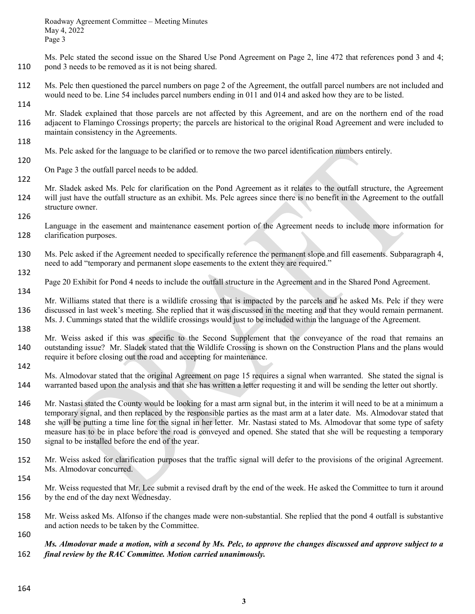Ms. Pelc stated the second issue on the Shared Use Pond Agreement on Page 2, line 472 that references pond 3 and 4; 110 pond 3 needs to be removed as it is not being shared.

- 112 Ms. Pelc then questioned the parcel numbers on page 2 of the Agreement, the outfall parcel numbers are not included and would need to be. Line 54 includes parcel numbers ending in 011 and 014 and asked how they are to be listed.
- Mr. Sladek explained that those parcels are not affected by this Agreement, and are on the northern end of the road 116 adjacent to Flamingo Crossings property; the parcels are historical to the original Road Agreement and were included to maintain consistency in the Agreements.
- Ms. Pelc asked for the language to be clarified or to remove the two parcel identification numbers entirely.
	- On Page 3 the outfall parcel needs to be added.
- 122

114

118

120

- Mr. Sladek asked Ms. Pelc for clarification on the Pond Agreement as it relates to the outfall structure, the Agreement 124 will just have the outfall structure as an exhibit. Ms. Pelc agrees since there is no benefit in the Agreement to the outfall structure owner.
- 126

Language in the easement and maintenance easement portion of the Agreement needs to include more information for 128 clarification purposes.

- 130 Ms. Pelc asked if the Agreement needed to specifically reference the permanent slope and fill easements. Subparagraph 4, need to add "temporary and permanent slope easements to the extent they are required."
- 132

142

Page 20 Exhibit for Pond 4 needs to include the outfall structure in the Agreement and in the Shared Pond Agreement.

134 Mr. Williams stated that there is a wildlife crossing that is impacted by the parcels and he asked Ms. Pelc if they were 136 discussed in last week's meeting. She replied that it was discussed in the meeting and that they would remain permanent. Ms. J. Cummings stated that the wildlife crossings would just to be included within the language of the Agreement. 138

- Mr. Weiss asked if this was specific to the Second Supplement that the conveyance of the road that remains an 140 outstanding issue? Mr. Sladek stated that the Wildlife Crossing is shown on the Construction Plans and the plans would require it before closing out the road and accepting for maintenance.
- Ms. Almodovar stated that the original Agreement on page 15 requires a signal when warranted. She stated the signal is 144 warranted based upon the analysis and that she has written a letter requesting it and will be sending the letter out shortly.
- 146 Mr. Nastasi stated the County would be looking for a mast arm signal but, in the interim it will need to be at a minimum a temporary signal, and then replaced by the responsible parties as the mast arm at a later date. Ms. Almodovar stated that 148 she will be putting a time line for the signal in her letter. Mr. Nastasi stated to Ms. Almodovar that some type of safety measure has to be in place before the road is conveyed and opened. She stated that she will be requesting a temporary 150 signal to be installed before the end of the year.
- 152 Mr. Weiss asked for clarification purposes that the traffic signal will defer to the provisions of the original Agreement. Ms. Almodovar concurred.
- 154

Mr. Weiss requested that Mr. Lee submit a revised draft by the end of the week. He asked the Committee to turn it around 156 by the end of the day next Wednesday.

158 Mr. Weiss asked Ms. Alfonso if the changes made were non-substantial. She replied that the pond 4 outfall is substantive and action needs to be taken by the Committee.

# *Ms. Almodovar made a motion, with a second by Ms. Pelc, to approve the changes discussed and approve subject to a*  162 *final review by the RAC Committee. Motion carried unanimously.*

160